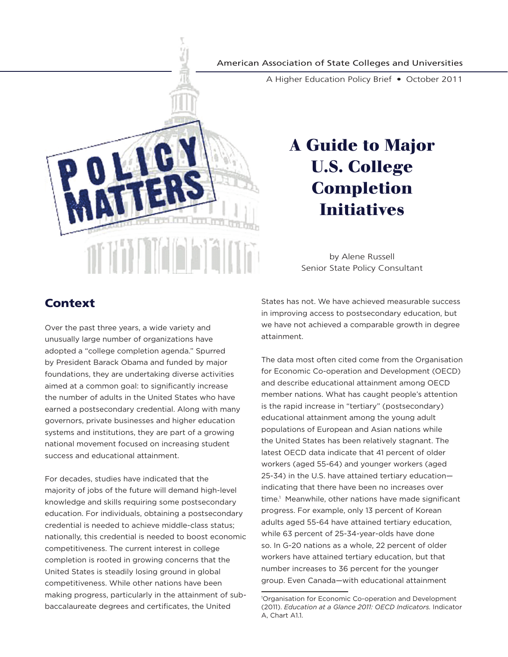#### American Association of State Colleges and Universities

A Higher Education Policy Brief • October 2011



# **A Guide to Major U.S. College Completion Initiatives**

by Alene Russell Senior State Policy Consultant

# **Context**

Over the past three years, a wide variety and unusually large number of organizations have adopted a "college completion agenda." Spurred by President Barack Obama and funded by major foundations, they are undertaking diverse activities aimed at a common goal: to significantly increase the number of adults in the United States who have earned a postsecondary credential. Along with many governors, private businesses and higher education systems and institutions, they are part of a growing national movement focused on increasing student success and educational attainment.

For decades, studies have indicated that the majority of jobs of the future will demand high-level knowledge and skills requiring some postsecondary education. For individuals, obtaining a postsecondary credential is needed to achieve middle-class status; nationally, this credential is needed to boost economic competitiveness. The current interest in college completion is rooted in growing concerns that the United States is steadily losing ground in global competitiveness. While other nations have been making progress, particularly in the attainment of subbaccalaureate degrees and certificates, the United

States has not. We have achieved measurable success in improving access to postsecondary education, but we have not achieved a comparable growth in degree attainment.

The data most often cited come from the Organisation for Economic Co-operation and Development (OECD) and describe educational attainment among OECD member nations. What has caught people's attention is the rapid increase in "tertiary" (postsecondary) educational attainment among the young adult populations of European and Asian nations while the United States has been relatively stagnant. The latest OECD data indicate that 41 percent of older workers (aged 55-64) and younger workers (aged 25-34) in the U.S. have attained tertiary education indicating that there have been no increases over time.<sup>1</sup> Meanwhile, other nations have made significant progress. For example, only 13 percent of Korean adults aged 55-64 have attained tertiary education, while 63 percent of 25-34-year-olds have done so. In G-20 nations as a whole, 22 percent of older workers have attained tertiary education, but that number increases to 36 percent for the younger group. Even Canada—with educational attainment

<sup>1</sup> Organisation for Economic Co-operation and Development (2011). *Education at a Glance 2011: OECD Indicators.* Indicator A, Chart A1.1.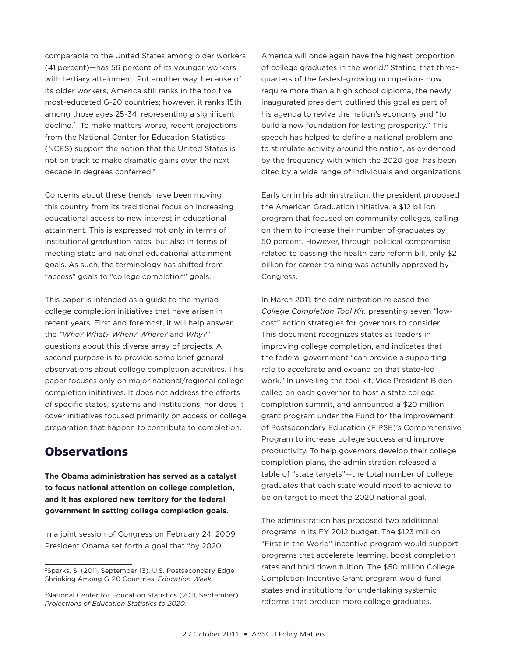comparable to the United States among older workers (41 percent)—has 56 percent of its younger workers with tertiary attainment. Put another way, because of its older workers, America still ranks in the top five most-educated G-20 countries; however, it ranks 15th among those ages 25-34, representing a significant decline.2 To make matters worse, recent projections from the National Center for Education Statistics (NCES) support the notion that the United States is not on track to make dramatic gains over the next decade in degrees conferred.3

Concerns about these trends have been moving this country from its traditional focus on increasing educational access to new interest in educational attainment. This is expressed not only in terms of institutional graduation rates, but also in terms of meeting state and national educational attainment goals. As such, the terminology has shifted from "access" goals to "college completion" goals.

This paper is intended as a guide to the myriad college completion initiatives that have arisen in recent years. First and foremost, it will help answer the *"Who? What? When? Where?* and *Why?"*  questions about this diverse array of projects. A second purpose is to provide some brief general observations about college completion activities. This paper focuses only on major national/regional college completion initiatives. It does not address the efforts of specific states, systems and institutions, nor does it cover initiatives focused primarily on access or college preparation that happen to contribute to completion.

# **Observations**

**The Obama administration has served as a catalyst to focus national attention on college completion, and it has explored new territory for the federal government in setting college completion goals.** 

In a joint session of Congress on February 24, 2009, President Obama set forth a goal that "by 2020,

America will once again have the highest proportion of college graduates in the world." Stating that threequarters of the fastest-growing occupations now require more than a high school diploma, the newly inaugurated president outlined this goal as part of his agenda to revive the nation's economy and "to build a new foundation for lasting prosperity." This speech has helped to define a national problem and to stimulate activity around the nation, as evidenced by the frequency with which the 2020 goal has been cited by a wide range of individuals and organizations.

Early on in his administration, the president proposed the American Graduation Initiative, a \$12 billion program that focused on community colleges, calling on them to increase their number of graduates by 50 percent. However, through political compromise related to passing the health care reform bill, only \$2 billion for career training was actually approved by Congress.

In March 2011, the administration released the *College Completion Tool Kit,* presenting seven "lowcost" action strategies for governors to consider. This document recognizes states as leaders in improving college completion, and indicates that the federal government "can provide a supporting role to accelerate and expand on that state-led work." In unveiling the tool kit, Vice President Biden called on each governor to host a state college completion summit, and announced a \$20 million grant program under the Fund for the Improvement of Postsecondary Education (FIPSE)'s Comprehensive Program to increase college success and improve productivity. To help governors develop their college completion plans, the administration released a table of "state targets"—the total number of college graduates that each state would need to achieve to be on target to meet the 2020 national goal.

The administration has proposed two additional programs in its FY 2012 budget. The \$123 million "First in the World" incentive program would support programs that accelerate learning, boost completion rates and hold down tuition. The \$50 million College Completion Incentive Grant program would fund states and institutions for undertaking systemic reforms that produce more college graduates.

<sup>2</sup>Sparks, S. (2011, September 13). U.S. Postsecondary Edge Shrinking Among G-20 Countries. *Education Week.*

<sup>&</sup>lt;sup>3</sup>National Center for Education Statistics (2011, September). *Projections of Education Statistics to 2020.*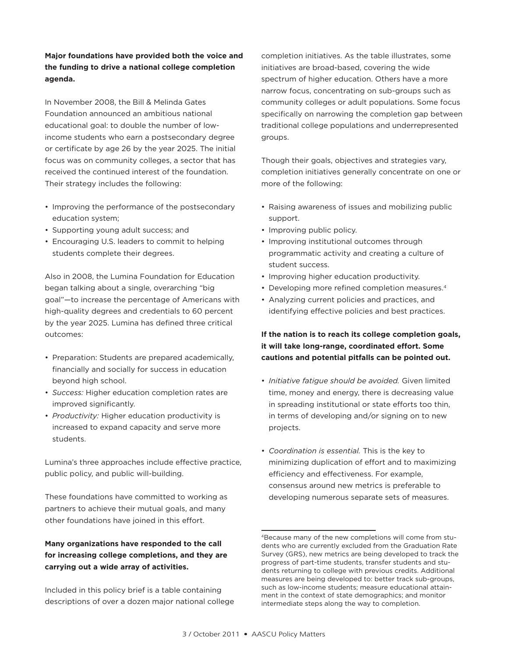## **Major foundations have provided both the voice and the funding to drive a national college completion agenda.**

In November 2008, the Bill & Melinda Gates Foundation announced an ambitious national educational goal: to double the number of lowincome students who earn a postsecondary degree or certificate by age 26 by the year 2025. The initial focus was on community colleges, a sector that has received the continued interest of the foundation. Their strategy includes the following:

- Improving the performance of the postsecondary education system;
- Supporting young adult success; and
- Encouraging U.S. leaders to commit to helping students complete their degrees.

Also in 2008, the Lumina Foundation for Education began talking about a single, overarching "big goal"—to increase the percentage of Americans with high-quality degrees and credentials to 60 percent by the year 2025. Lumina has defined three critical outcomes:

- Preparation: Students are prepared academically, financially and socially for success in education beyond high school.
- *Success:* Higher education completion rates are improved significantly.
- *Productivity:* Higher education productivity is increased to expand capacity and serve more students.

Lumina's three approaches include effective practice, public policy, and public will-building.

These foundations have committed to working as partners to achieve their mutual goals, and many other foundations have joined in this effort.

# **Many organizations have responded to the call for increasing college completions, and they are carrying out a wide array of activities.**

Included in this policy brief is a table containing descriptions of over a dozen major national college completion initiatives. As the table illustrates, some initiatives are broad-based, covering the wide spectrum of higher education. Others have a more narrow focus, concentrating on sub-groups such as community colleges or adult populations. Some focus specifically on narrowing the completion gap between traditional college populations and underrepresented groups.

Though their goals, objectives and strategies vary, completion initiatives generally concentrate on one or more of the following:

- Raising awareness of issues and mobilizing public support.
- Improving public policy.
- Improving institutional outcomes through programmatic activity and creating a culture of student success.
- Improving higher education productivity.
- Developing more refined completion measures.4
- Analyzing current policies and practices, and identifying effective policies and best practices.

## **If the nation is to reach its college completion goals, it will take long-range, coordinated effort. Some cautions and potential pitfalls can be pointed out.**

- *Initiative fatigue should be avoided.* Given limited time, money and energy, there is decreasing value in spreading institutional or state efforts too thin, in terms of developing and/or signing on to new projects.
- *Coordination is essential.* This is the key to minimizing duplication of effort and to maximizing efficiency and effectiveness. For example, consensus around new metrics is preferable to developing numerous separate sets of measures.

<sup>4</sup>Because many of the new completions will come from students who are currently excluded from the Graduation Rate Survey (GRS), new metrics are being developed to track the progress of part-time students, transfer students and students returning to college with previous credits. Additional measures are being developed to: better track sub-groups, such as low-income students; measure educational attainment in the context of state demographics; and monitor intermediate steps along the way to completion.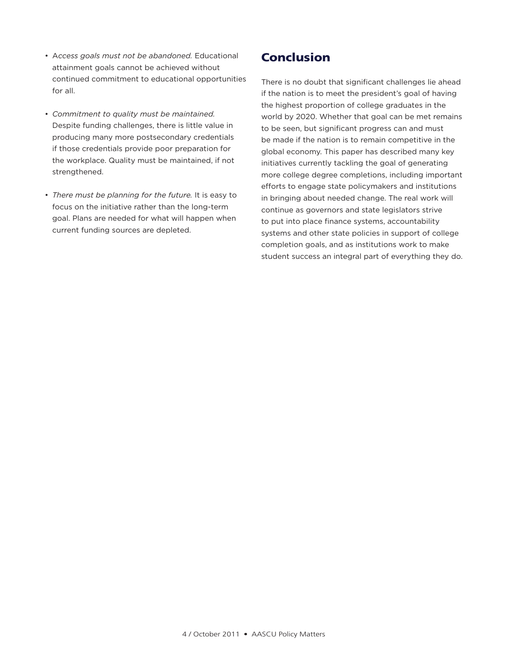- A*ccess goals must not be abandoned.* Educational attainment goals cannot be achieved without continued commitment to educational opportunities for all.
- *Commitment to quality must be maintained.* Despite funding challenges, there is little value in producing many more postsecondary credentials if those credentials provide poor preparation for the workplace. Quality must be maintained, if not strengthened.
- *There must be planning for the future.* It is easy to focus on the initiative rather than the long-term goal. Plans are needed for what will happen when current funding sources are depleted.

# **Conclusion**

There is no doubt that significant challenges lie ahead if the nation is to meet the president's goal of having the highest proportion of college graduates in the world by 2020. Whether that goal can be met remains to be seen, but significant progress can and must be made if the nation is to remain competitive in the global economy. This paper has described many key initiatives currently tackling the goal of generating more college degree completions, including important efforts to engage state policymakers and institutions in bringing about needed change. The real work will continue as governors and state legislators strive to put into place finance systems, accountability systems and other state policies in support of college completion goals, and as institutions work to make student success an integral part of everything they do.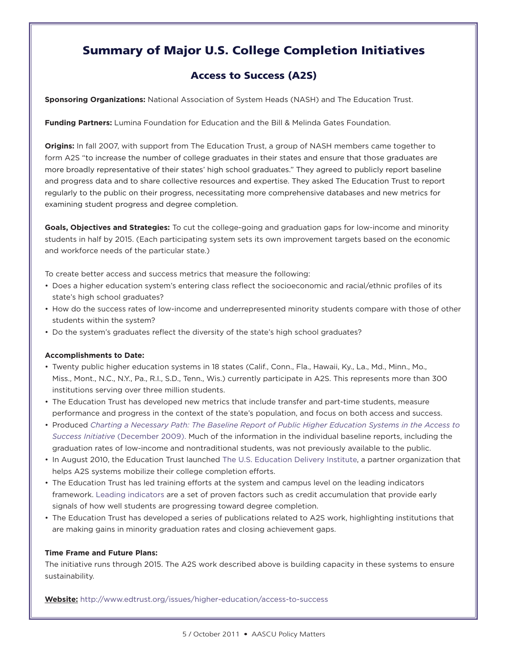# Summary of Major U.S. College Completion Initiatives

# Access to Success (A2S)

**Sponsoring Organizations:** National Association of System Heads (NASH) and The Education Trust.

**Funding Partners:** Lumina Foundation for Education and the Bill & Melinda Gates Foundation.

**Origins:** In fall 2007, with support from The Education Trust, a group of NASH members came together to form A2S "to increase the number of college graduates in their states and ensure that those graduates are more broadly representative of their states' high school graduates." They agreed to publicly report baseline and progress data and to share collective resources and expertise. They asked The Education Trust to report regularly to the public on their progress, necessitating more comprehensive databases and new metrics for examining student progress and degree completion.

**Goals, Objectives and Strategies:** To cut the college-going and graduation gaps for low-income and minority students in half by 2015. (Each participating system sets its own improvement targets based on the economic and workforce needs of the particular state.)

To create better access and success metrics that measure the following:

- Does a higher education system's entering class reflect the socioeconomic and racial/ethnic profiles of its state's high school graduates?
- How do the success rates of low-income and underrepresented minority students compare with those of other students within the system?
- Do the system's graduates reflect the diversity of the state's high school graduates?

### **Accomplishments to Date:**

- Twenty public higher education systems in 18 states (Calif., Conn., Fla., Hawaii, Ky., La., Md., Minn., Mo., Miss., Mont., N.C., N.Y., Pa., R.I., S.D., Tenn., Wis.) currently participate in A2S. This represents more than 300 institutions serving over three million students.
- The Education Trust has developed new metrics that include transfer and part-time students, measure performance and progress in the context of the state's population, and focus on both access and success.
- Produced *Charting a Necessary Path: The Baseline Report of Public Higher Education Systems in the Access to Success Initiative* (December 2009). Much of the information in the individual baseline reports, including the graduation rates of low-income and nontraditional students, was not previously available to the public.
- In August 2010, the Education Trust launched The U.S. Education Delivery Institute, a partner organization that helps A2S systems mobilize their college completion efforts.
- The Education Trust has led training efforts at the system and campus level on the leading indicators framework. Leading indicators are a set of proven factors such as credit accumulation that provide early signals of how well students are progressing toward degree completion.
- The Education Trust has developed a series of publications related to A2S work, highlighting institutions that are making gains in minority graduation rates and closing achievement gaps.

### **Time Frame and Future Plans:**

The initiative runs through 2015. The A2S work described above is building capacity in these systems to ensure sustainability.

**Website:** http://www.edtrust.org/issues/higher-education/access-to-success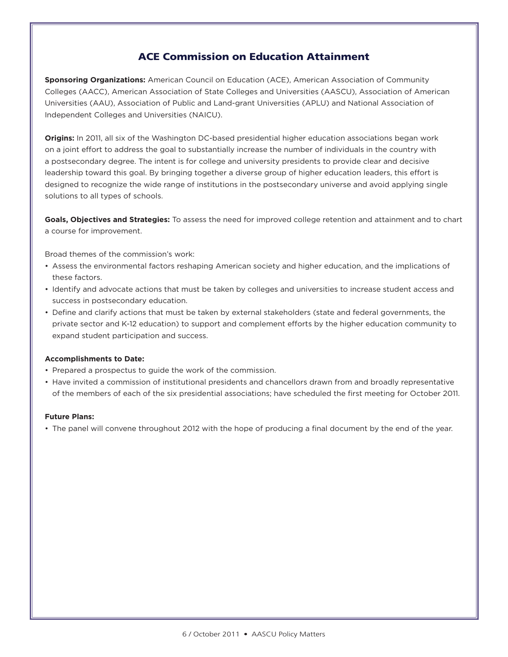# ACE Commission on Education Attainment

**Sponsoring Organizations:** American Council on Education (ACE), American Association of Community Colleges (AACC), American Association of State Colleges and Universities (AASCU), Association of American Universities (AAU), Association of Public and Land-grant Universities (APLU) and National Association of Independent Colleges and Universities (NAICU).

**Origins:** In 2011, all six of the Washington DC-based presidential higher education associations began work on a joint effort to address the goal to substantially increase the number of individuals in the country with a postsecondary degree. The intent is for college and university presidents to provide clear and decisive leadership toward this goal. By bringing together a diverse group of higher education leaders, this effort is designed to recognize the wide range of institutions in the postsecondary universe and avoid applying single solutions to all types of schools.

**Goals, Objectives and Strategies:** To assess the need for improved college retention and attainment and to chart a course for improvement.

Broad themes of the commission's work:

- Assess the environmental factors reshaping American society and higher education, and the implications of these factors.
- Identify and advocate actions that must be taken by colleges and universities to increase student access and success in postsecondary education.
- Define and clarify actions that must be taken by external stakeholders (state and federal governments, the private sector and K-12 education) to support and complement efforts by the higher education community to expand student participation and success.

### **Accomplishments to Date:**

- Prepared a prospectus to guide the work of the commission.
- Have invited a commission of institutional presidents and chancellors drawn from and broadly representative of the members of each of the six presidential associations; have scheduled the first meeting for October 2011.

#### **Future Plans:**

• The panel will convene throughout 2012 with the hope of producing a final document by the end of the year.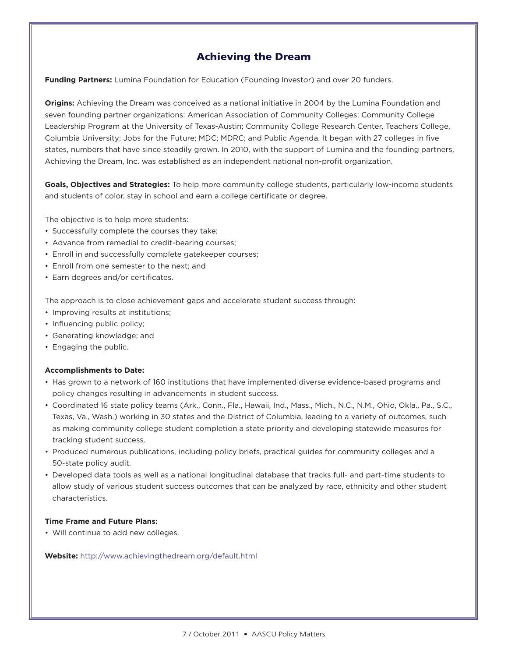# Achieving the Dream

**Funding Partners:** Lumina Foundation for Education (Founding Investor) and over 20 funders.

**Origins:** Achieving the Dream was conceived as a national initiative in 2004 by the Lumina Foundation and seven founding partner organizations: American Association of Community Colleges; Community College Leadership Program at the University of Texas-Austin; Community College Research Center, Teachers College, Columbia University; Jobs for the Future; MDC; MDRC; and Public Agenda. It began with 27 colleges in five states, numbers that have since steadily grown. In 2010, with the support of Lumina and the founding partners, Achieving the Dream, Inc. was established as an independent national non-profit organization.

**Goals, Objectives and Strategies:** To help more community college students, particularly low-income students and students of color, stay in school and earn a college certificate or degree.

The objective is to help more students:

- Successfully complete the courses they take;
- Advance from remedial to credit-bearing courses;
- Enroll in and successfully complete gatekeeper courses;
- Enroll from one semester to the next; and
- Earn degrees and/or certificates.

The approach is to close achievement gaps and accelerate student success through:

- Improving results at institutions;
- Influencing public policy;
- Generating knowledge; and
- Engaging the public.

### **Accomplishments to Date:**

- Has grown to a network of 160 institutions that have implemented diverse evidence-based programs and policy changes resulting in advancements in student success.
- Coordinated 16 state policy teams (Ark., Conn., Fla., Hawaii, Ind., Mass., Mich., N.C., N.M., Ohio, Okla., Pa., S.C., Texas, Va., Wash.) working in 30 states and the District of Columbia, leading to a variety of outcomes, such as making community college student completion a state priority and developing statewide measures for tracking student success.
- Produced numerous publications, including policy briefs, practical guides for community colleges and a 50-state policy audit.
- Developed data tools as well as a national longitudinal database that tracks full- and part-time students to allow study of various student success outcomes that can be analyzed by race, ethnicity and other student characteristics.

### **Time Frame and Future Plans:**

• Will continue to add new colleges.

**Website:** http://www.achievingthedream.org/default.html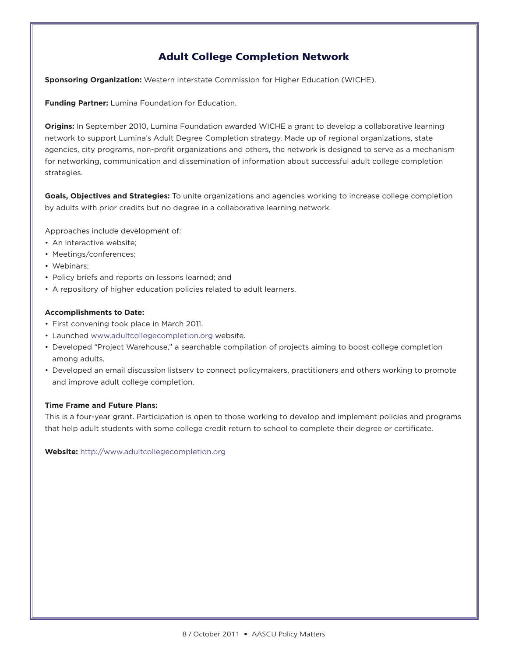# Adult College Completion Network

**Sponsoring Organization:** Western Interstate Commission for Higher Education (WICHE).

**Funding Partner:** Lumina Foundation for Education.

**Origins:** In September 2010, Lumina Foundation awarded WICHE a grant to develop a collaborative learning network to support Lumina's Adult Degree Completion strategy. Made up of regional organizations, state agencies, city programs, non-profit organizations and others, the network is designed to serve as a mechanism for networking, communication and dissemination of information about successful adult college completion strategies.

**Goals, Objectives and Strategies:** To unite organizations and agencies working to increase college completion by adults with prior credits but no degree in a collaborative learning network.

Approaches include development of:

- An interactive website;
- Meetings/conferences;
- Webinars;
- Policy briefs and reports on lessons learned; and
- A repository of higher education policies related to adult learners.

### **Accomplishments to Date:**

- First convening took place in March 2011.
- Launched www.adultcollegecompletion.org website.
- Developed "Project Warehouse," a searchable compilation of projects aiming to boost college completion among adults.
- Developed an email discussion listserv to connect policymakers, practitioners and others working to promote and improve adult college completion.

### **Time Frame and Future Plans:**

This is a four-year grant. Participation is open to those working to develop and implement policies and programs that help adult students with some college credit return to school to complete their degree or certificate.

**Website:** http://www.adultcollegecompletion.org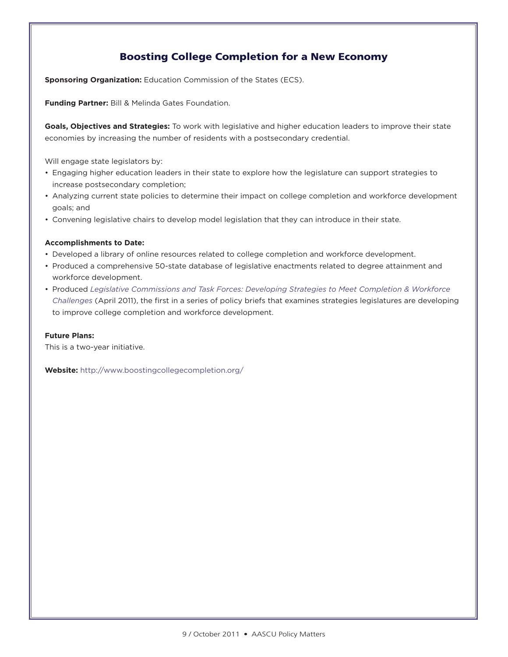# Boosting College Completion for a New Economy

**Sponsoring Organization:** Education Commission of the States (ECS).

**Funding Partner:** Bill & Melinda Gates Foundation.

**Goals, Objectives and Strategies:** To work with legislative and higher education leaders to improve their state economies by increasing the number of residents with a postsecondary credential.

Will engage state legislators by:

- Engaging higher education leaders in their state to explore how the legislature can support strategies to increase postsecondary completion;
- Analyzing current state policies to determine their impact on college completion and workforce development goals; and
- Convening legislative chairs to develop model legislation that they can introduce in their state.

#### **Accomplishments to Date:**

- Developed a library of online resources related to college completion and workforce development.
- Produced a comprehensive 50-state database of legislative enactments related to degree attainment and workforce development.
- Produced *Legislative Commissions and Task Forces: Developing Strategies to Meet Completion & Workforce Challenges* (April 2011), the first in a series of policy briefs that examines strategies legislatures are developing to improve college completion and workforce development.

#### **Future Plans:**

This is a two-year initiative.

**Website:** http://www.boostingcollegecompletion.org/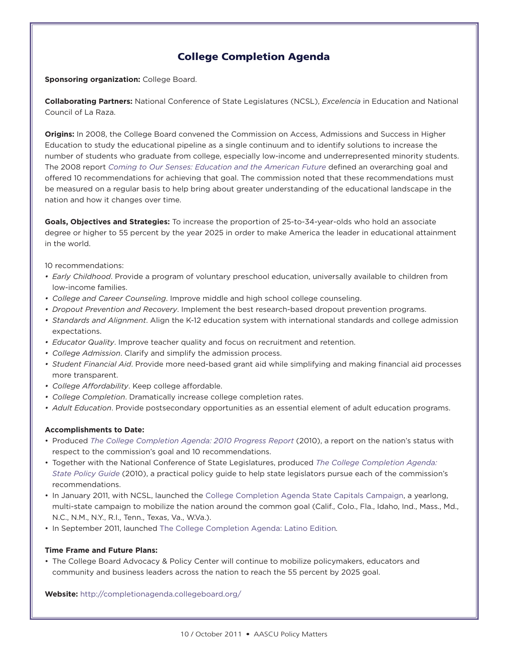# College Completion Agenda

**Sponsoring organization:** College Board.

**Collaborating Partners:** National Conference of State Legislatures (NCSL), *Excelencia* in Education and National Council of La Raza.

**Origins:** In 2008, the College Board convened the Commission on Access, Admissions and Success in Higher Education to study the educational pipeline as a single continuum and to identify solutions to increase the number of students who graduate from college, especially low-income and underrepresented minority students. The 2008 report *Coming to Our Senses: Education and the American Future* defined an overarching goal and offered 10 recommendations for achieving that goal. The commission noted that these recommendations must be measured on a regular basis to help bring about greater understanding of the educational landscape in the nation and how it changes over time.

**Goals, Objectives and Strategies:** To increase the proportion of 25-to-34-year-olds who hold an associate degree or higher to 55 percent by the year 2025 in order to make America the leader in educational attainment in the world.

10 recommendations:

- *• Early Childhood*. Provide a program of voluntary preschool education, universally available to children from low-income families.
- *• College and Career Counseling*. Improve middle and high school college counseling.
- *• Dropout Prevention and Recovery*. Implement the best research-based dropout prevention programs.
- *• Standards and Alignment*. Align the K-12 education system with international standards and college admission expectations.
- *• Educator Quality*. Improve teacher quality and focus on recruitment and retention.
- *• College Admission*. Clarify and simplify the admission process.
- *• Student Financial Aid*. Provide more need-based grant aid while simplifying and making financial aid processes more transparent.
- *• College Affordability*. Keep college affordable.
- *• College Completion*. Dramatically increase college completion rates.
- *• Adult Education*. Provide postsecondary opportunities as an essential element of adult education programs.

#### **Accomplishments to Date:**

- Produced *The College Completion Agenda: 2010 Progress Report* (2010), a report on the nation's status with respect to the commission's goal and 10 recommendations.
- Together with the National Conference of State Legislatures, produced *The College Completion Agenda: State Policy Guide* (2010), a practical policy guide to help state legislators pursue each of the commission's recommendations.
- In January 2011, with NCSL, launched the College Completion Agenda State Capitals Campaign, a yearlong, multi-state campaign to mobilize the nation around the common goal (Calif., Colo., Fla., Idaho, Ind., Mass., Md., N.C., N.M., N.Y., R.I., Tenn., Texas, Va., W.Va.).
- In September 2011, launched The College Completion Agenda: Latino Edition*.*

#### **Time Frame and Future Plans:**

• The College Board Advocacy & Policy Center will continue to mobilize policymakers, educators and community and business leaders across the nation to reach the 55 percent by 2025 goal.

**Website:** http://completionagenda.collegeboard.org/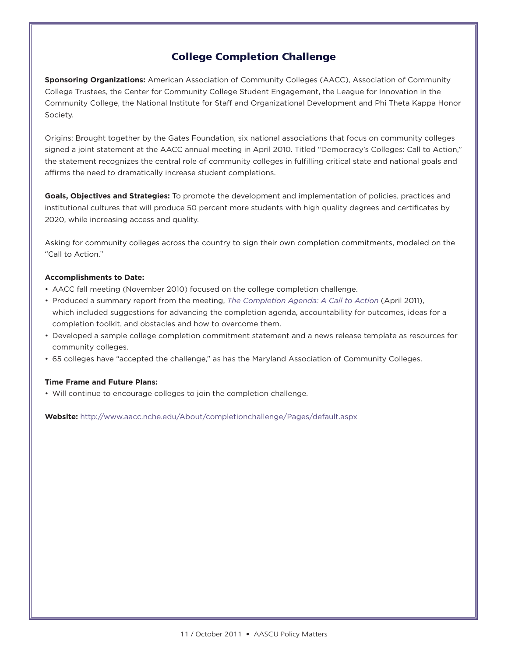# College Completion Challenge

**Sponsoring Organizations:** American Association of Community Colleges (AACC), Association of Community College Trustees, the Center for Community College Student Engagement, the League for Innovation in the Community College, the National Institute for Staff and Organizational Development and Phi Theta Kappa Honor Society.

Origins: Brought together by the Gates Foundation, six national associations that focus on community colleges signed a joint statement at the AACC annual meeting in April 2010. Titled "Democracy's Colleges: Call to Action," the statement recognizes the central role of community colleges in fulfilling critical state and national goals and affirms the need to dramatically increase student completions.

**Goals, Objectives and Strategies:** To promote the development and implementation of policies, practices and institutional cultures that will produce 50 percent more students with high quality degrees and certificates by 2020, while increasing access and quality.

Asking for community colleges across the country to sign their own completion commitments, modeled on the "Call to Action."

### **Accomplishments to Date:**

- AACC fall meeting (November 2010) focused on the college completion challenge.
- Produced a summary report from the meeting, *The Completion Agenda: A Call to Action* (April 2011), which included suggestions for advancing the completion agenda, accountability for outcomes, ideas for a completion toolkit, and obstacles and how to overcome them.
- Developed a sample college completion commitment statement and a news release template as resources for community colleges.
- 65 colleges have "accepted the challenge," as has the Maryland Association of Community Colleges.

#### **Time Frame and Future Plans:**

• Will continue to encourage colleges to join the completion challenge.

**Website:** http://www.aacc.nche.edu/About/completionchallenge/Pages/default.aspx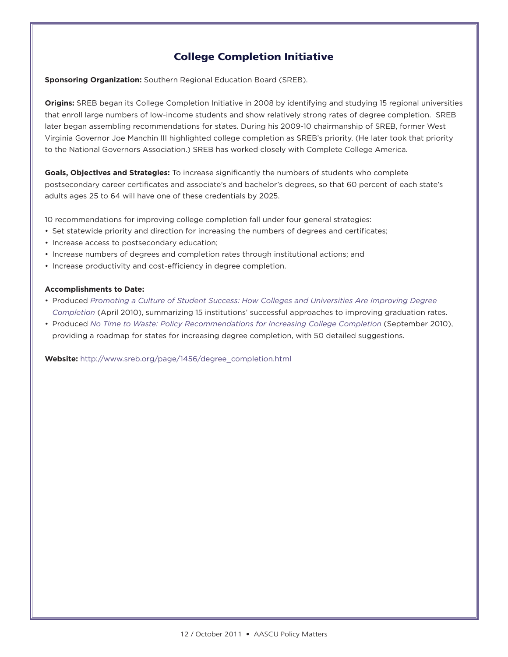# College Completion Initiative

**Sponsoring Organization:** Southern Regional Education Board (SREB).

**Origins:** SREB began its College Completion Initiative in 2008 by identifying and studying 15 regional universities that enroll large numbers of low-income students and show relatively strong rates of degree completion. SREB later began assembling recommendations for states. During his 2009-10 chairmanship of SREB, former West Virginia Governor Joe Manchin III highlighted college completion as SREB's priority. (He later took that priority to the National Governors Association.) SREB has worked closely with Complete College America.

**Goals, Objectives and Strategies:** To increase significantly the numbers of students who complete postsecondary career certificates and associate's and bachelor's degrees, so that 60 percent of each state's adults ages 25 to 64 will have one of these credentials by 2025.

10 recommendations for improving college completion fall under four general strategies:

- Set statewide priority and direction for increasing the numbers of degrees and certificates;
- Increase access to postsecondary education;
- Increase numbers of degrees and completion rates through institutional actions; and
- Increase productivity and cost-efficiency in degree completion.

#### **Accomplishments to Date:**

- Produced *Promoting a Culture of Student Success: How Colleges and Universities Are Improving Degree Completion* (April 2010), summarizing 15 institutions' successful approaches to improving graduation rates.
- Produced *No Time to Waste: Policy Recommendations for Increasing College Completion* (September 2010), providing a roadmap for states for increasing degree completion, with 50 detailed suggestions.

**Website:** http://www.sreb.org/page/1456/degree\_completion.html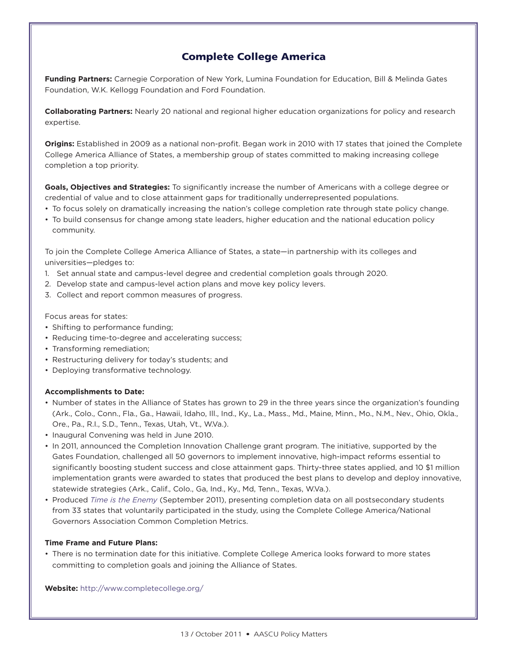# Complete College America

**Funding Partners:** Carnegie Corporation of New York, Lumina Foundation for Education, Bill & Melinda Gates Foundation, W.K. Kellogg Foundation and Ford Foundation.

**Collaborating Partners:** Nearly 20 national and regional higher education organizations for policy and research expertise.

**Origins:** Established in 2009 as a national non-profit. Began work in 2010 with 17 states that joined the Complete College America Alliance of States, a membership group of states committed to making increasing college completion a top priority.

**Goals, Objectives and Strategies:** To significantly increase the number of Americans with a college degree or credential of value and to close attainment gaps for traditionally underrepresented populations.

- To focus solely on dramatically increasing the nation's college completion rate through state policy change.
- To build consensus for change among state leaders, higher education and the national education policy community.

To join the Complete College America Alliance of States, a state—in partnership with its colleges and universities—pledges to:

- 1. Set annual state and campus-level degree and credential completion goals through 2020.
- 2. Develop state and campus-level action plans and move key policy levers.
- 3. Collect and report common measures of progress.

#### Focus areas for states:

- Shifting to performance funding;
- Reducing time-to-degree and accelerating success;
- Transforming remediation;
- Restructuring delivery for today's students; and
- Deploying transformative technology.

#### **Accomplishments to Date:**

- Number of states in the Alliance of States has grown to 29 in the three years since the organization's founding (Ark., Colo., Conn., Fla., Ga., Hawaii, Idaho, Ill., Ind., Ky., La., Mass., Md., Maine, Minn., Mo., N.M., Nev., Ohio, Okla., Ore., Pa., R.I., S.D., Tenn., Texas, Utah, Vt., W.Va.).
- Inaugural Convening was held in June 2010.
- In 2011, announced the Completion Innovation Challenge grant program. The initiative, supported by the Gates Foundation, challenged all 50 governors to implement innovative, high-impact reforms essential to significantly boosting student success and close attainment gaps. Thirty-three states applied, and 10 \$1 million implementation grants were awarded to states that produced the best plans to develop and deploy innovative, statewide strategies (Ark., Calif., Colo., Ga, Ind., Ky., Md, Tenn., Texas, W.Va.).
- Produced *Time is the Enemy* (September 2011), presenting completion data on all postsecondary students from 33 states that voluntarily participated in the study, using the Complete College America/National Governors Association Common Completion Metrics.

#### **Time Frame and Future Plans:**

• There is no termination date for this initiative. Complete College America looks forward to more states committing to completion goals and joining the Alliance of States.

**Website:** http://www.completecollege.org/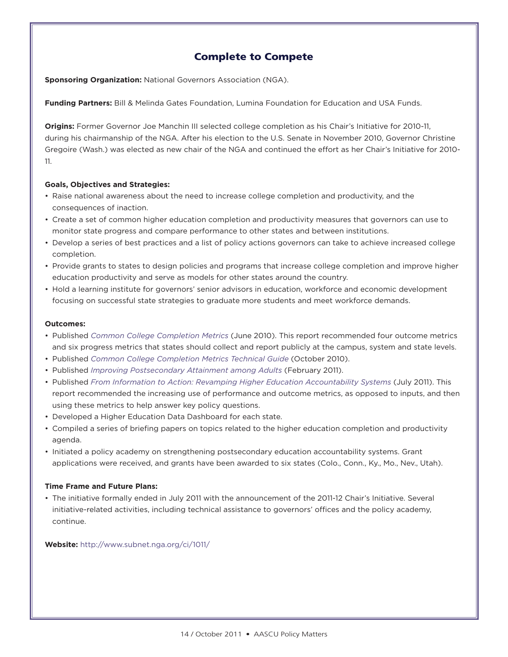# Complete to Compete

**Sponsoring Organization:** National Governors Association (NGA).

**Funding Partners:** Bill & Melinda Gates Foundation, Lumina Foundation for Education and USA Funds.

**Origins:** Former Governor Joe Manchin III selected college completion as his Chair's Initiative for 2010-11, during his chairmanship of the NGA. After his election to the U.S. Senate in November 2010, Governor Christine Gregoire (Wash.) was elected as new chair of the NGA and continued the effort as her Chair's Initiative for 2010- 11.

# **Goals, Objectives and Strategies:**

- Raise national awareness about the need to increase college completion and productivity, and the consequences of inaction.
- Create a set of common higher education completion and productivity measures that governors can use to monitor state progress and compare performance to other states and between institutions.
- Develop a series of best practices and a list of policy actions governors can take to achieve increased college completion.
- Provide grants to states to design policies and programs that increase college completion and improve higher education productivity and serve as models for other states around the country.
- Hold a learning institute for governors' senior advisors in education, workforce and economic development focusing on successful state strategies to graduate more students and meet workforce demands.

### **Outcomes:**

- Published *Common College Completion Metrics* (June 2010). This report recommended four outcome metrics and six progress metrics that states should collect and report publicly at the campus, system and state levels.
- Published *Common College Completion Metrics Technical Guide* (October 2010).
- Published *Improving Postsecondary Attainment among Adults* (February 2011).
- Published *From Information to Action: Revamping Higher Education Accountability Systems* (July 2011). This report recommended the increasing use of performance and outcome metrics, as opposed to inputs, and then using these metrics to help answer key policy questions.
- Developed a Higher Education Data Dashboard for each state.
- Compiled a series of briefing papers on topics related to the higher education completion and productivity agenda.
- Initiated a policy academy on strengthening postsecondary education accountability systems. Grant applications were received, and grants have been awarded to six states (Colo., Conn., Ky., Mo., Nev., Utah).

### **Time Frame and Future Plans:**

• The initiative formally ended in July 2011 with the announcement of the 2011-12 Chair's Initiative. Several initiative-related activities, including technical assistance to governors' offices and the policy academy, continue.

### **Website:** http://www.subnet.nga.org/ci/1011/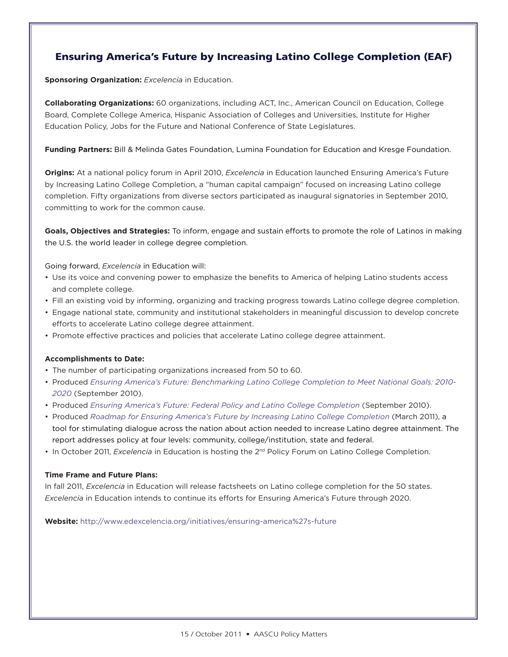# Ensuring America's Future by Increasing Latino College Completion (EAF)

**Sponsoring Organization:** *Excelencia* in Education.

**Collaborating Organizations:** 60 organizations, including ACT, Inc., American Council on Education, College Board, Complete College America, Hispanic Association of Colleges and Universities, Institute for Higher Education Policy, Jobs for the Future and National Conference of State Legislatures.

### **Funding Partners:** Bill & Melinda Gates Foundation, Lumina Foundation for Education and Kresge Foundation.

**Origins:** At a national policy forum in April 2010, *Excelencia* in Education launched Ensuring America's Future by Increasing Latino College Completion, a "human capital campaign" focused on increasing Latino college completion. Fifty organizations from diverse sectors participated as inaugural signatories in September 2010, committing to work for the common cause.

**Goals, Objectives and Strategies:** To inform, engage and sustain efforts to promote the role of Latinos in making the U.S. the world leader in college degree completion.

Going forward, *Excelencia* in Education will:

- Use its voice and convening power to emphasize the benefits to America of helping Latino students access and complete college.
- Fill an existing void by informing, organizing and tracking progress towards Latino college degree completion.
- Engage national state, community and institutional stakeholders in meaningful discussion to develop concrete efforts to accelerate Latino college degree attainment.
- Promote effective practices and policies that accelerate Latino college degree attainment.

#### **Accomplishments to Date:**

- The number of participating organizations increased from 50 to 60.
- Produced *Ensuring America's Future: Benchmarking Latino College Completion to Meet National Goals: 2010- 2020* (September 2010).
- Produced *Ensuring America's Future: Federal Policy and Latino College Completion* (September 2010).
- Produced *Roadmap for Ensuring America's Future by Increasing Latino College Completion* (March 2011), a tool for stimulating dialogue across the nation about action needed to increase Latino degree attainment. The report addresses policy at four levels: community, college/institution, state and federal.
- In October 2011, *Excelencia* in Education is hosting the 2nd Policy Forum on Latino College Completion.

#### **Time Frame and Future Plans:**

In fall 2011, *Excelencia* in Education will release factsheets on Latino college completion for the 50 states. *Excelencia* in Education intends to continue its efforts for Ensuring America's Future through 2020.

**Website:** http://www.edexcelencia.org/initiatives/ensuring-america%27s-future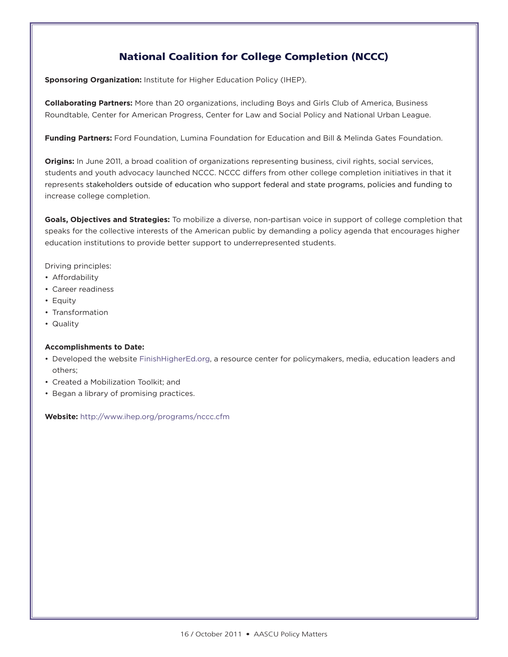# National Coalition for College Completion (NCCC)

**Sponsoring Organization:** Institute for Higher Education Policy (IHEP).

**Collaborating Partners:** More than 20 organizations, including Boys and Girls Club of America, Business Roundtable, Center for American Progress, Center for Law and Social Policy and National Urban League.

**Funding Partners:** Ford Foundation, Lumina Foundation for Education and Bill & Melinda Gates Foundation.

**Origins:** In June 2011, a broad coalition of organizations representing business, civil rights, social services, students and youth advocacy launched NCCC. NCCC differs from other college completion initiatives in that it represents stakeholders outside of education who support federal and state programs, policies and funding to increase college completion.

**Goals, Objectives and Strategies:** To mobilize a diverse, non-partisan voice in support of college completion that speaks for the collective interests of the American public by demanding a policy agenda that encourages higher education institutions to provide better support to underrepresented students.

Driving principles:

- Affordability
- Career readiness
- Equity
- Transformation
- Quality

### **Accomplishments to Date:**

- Developed the website FinishHigherEd.org, a resource center for policymakers, media, education leaders and others;
- Created a Mobilization Toolkit; and
- Began a library of promising practices.

**Website:** http://www.ihep.org/programs/nccc.cfm